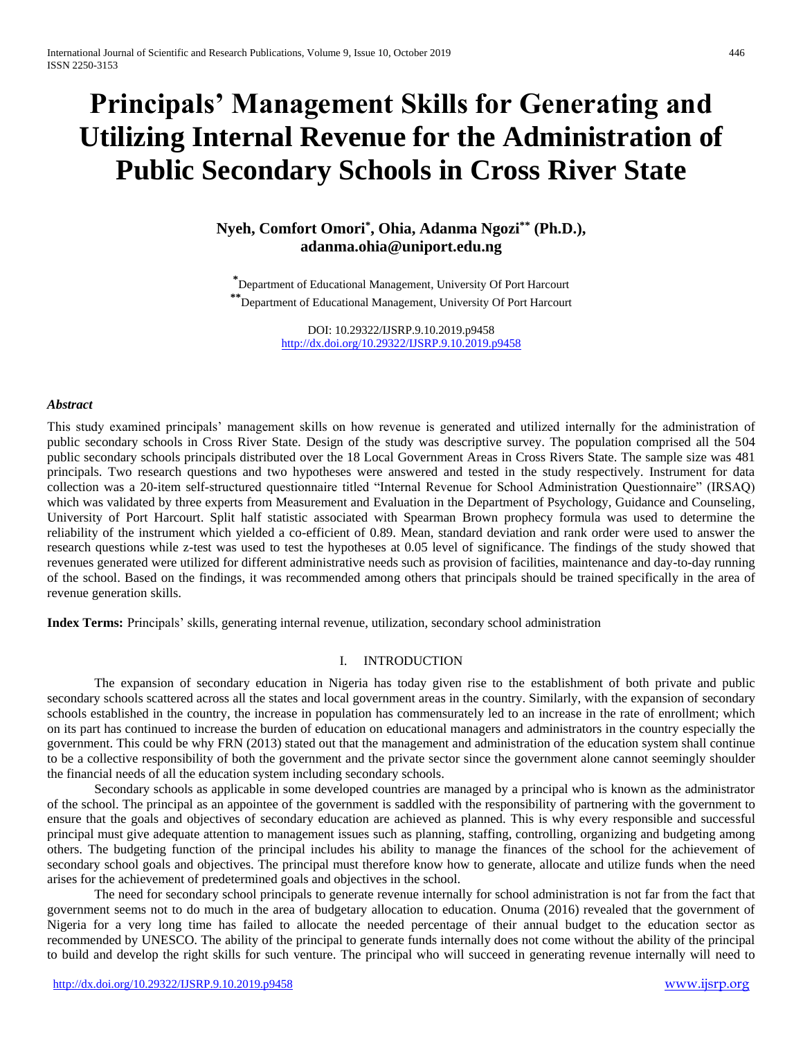# **Principals' Management Skills for Generating and Utilizing Internal Revenue for the Administration of Public Secondary Schools in Cross River State**

# **Nyeh, Comfort Omori\* , Ohia, Adanma Ngozi\*\* (Ph.D.), adanma.ohia@uniport.edu.ng**

**\***Department of Educational Management, University Of Port Harcourt **\*\***Department of Educational Management, University Of Port Harcourt

> DOI: 10.29322/IJSRP.9.10.2019.p9458 <http://dx.doi.org/10.29322/IJSRP.9.10.2019.p9458>

#### *Abstract*

This study examined principals' management skills on how revenue is generated and utilized internally for the administration of public secondary schools in Cross River State. Design of the study was descriptive survey. The population comprised all the 504 public secondary schools principals distributed over the 18 Local Government Areas in Cross Rivers State. The sample size was 481 principals. Two research questions and two hypotheses were answered and tested in the study respectively. Instrument for data collection was a 20-item self-structured questionnaire titled "Internal Revenue for School Administration Questionnaire" (IRSAQ) which was validated by three experts from Measurement and Evaluation in the Department of Psychology, Guidance and Counseling, University of Port Harcourt. Split half statistic associated with Spearman Brown prophecy formula was used to determine the reliability of the instrument which yielded a co-efficient of 0.89. Mean, standard deviation and rank order were used to answer the research questions while z-test was used to test the hypotheses at 0.05 level of significance. The findings of the study showed that revenues generated were utilized for different administrative needs such as provision of facilities, maintenance and day-to-day running of the school. Based on the findings, it was recommended among others that principals should be trained specifically in the area of revenue generation skills.

**Index Terms:** Principals' skills, generating internal revenue, utilization, secondary school administration

## I. INTRODUCTION

The expansion of secondary education in Nigeria has today given rise to the establishment of both private and public secondary schools scattered across all the states and local government areas in the country. Similarly, with the expansion of secondary schools established in the country, the increase in population has commensurately led to an increase in the rate of enrollment; which on its part has continued to increase the burden of education on educational managers and administrators in the country especially the government. This could be why FRN (2013) stated out that the management and administration of the education system shall continue to be a collective responsibility of both the government and the private sector since the government alone cannot seemingly shoulder the financial needs of all the education system including secondary schools.

Secondary schools as applicable in some developed countries are managed by a principal who is known as the administrator of the school. The principal as an appointee of the government is saddled with the responsibility of partnering with the government to ensure that the goals and objectives of secondary education are achieved as planned. This is why every responsible and successful principal must give adequate attention to management issues such as planning, staffing, controlling, organizing and budgeting among others. The budgeting function of the principal includes his ability to manage the finances of the school for the achievement of secondary school goals and objectives. The principal must therefore know how to generate, allocate and utilize funds when the need arises for the achievement of predetermined goals and objectives in the school.

The need for secondary school principals to generate revenue internally for school administration is not far from the fact that government seems not to do much in the area of budgetary allocation to education. Onuma (2016) revealed that the government of Nigeria for a very long time has failed to allocate the needed percentage of their annual budget to the education sector as recommended by UNESCO. The ability of the principal to generate funds internally does not come without the ability of the principal to build and develop the right skills for such venture. The principal who will succeed in generating revenue internally will need to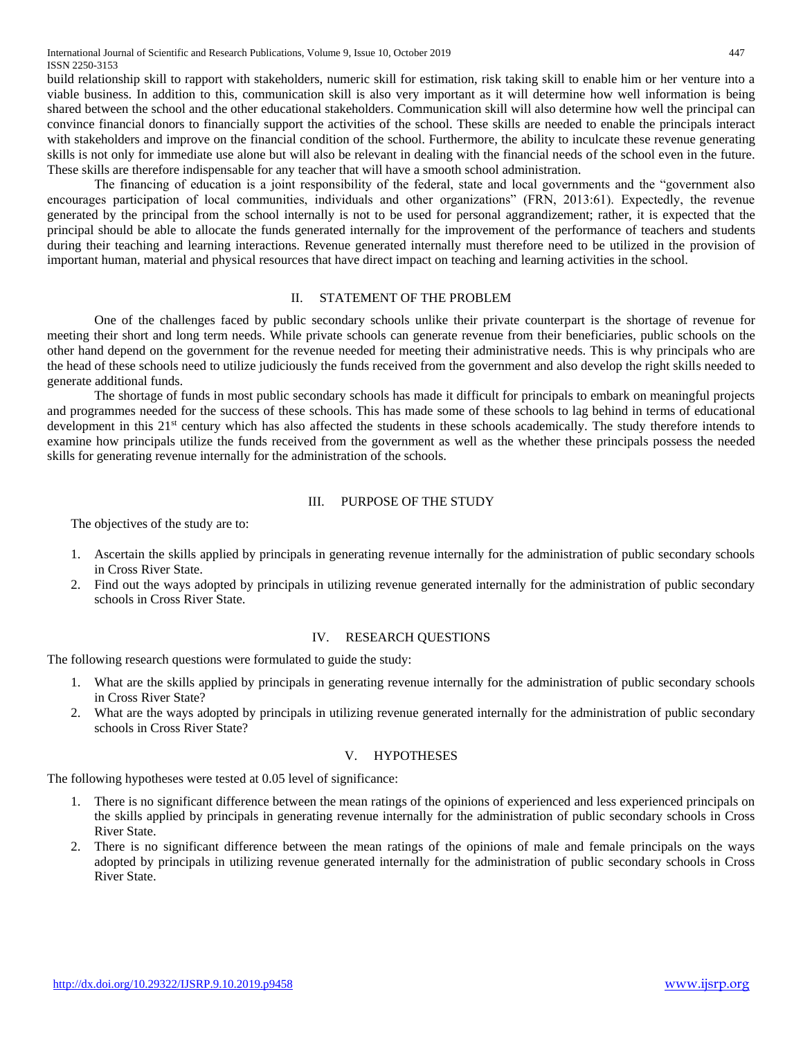build relationship skill to rapport with stakeholders, numeric skill for estimation, risk taking skill to enable him or her venture into a viable business. In addition to this, communication skill is also very important as it will determine how well information is being shared between the school and the other educational stakeholders. Communication skill will also determine how well the principal can convince financial donors to financially support the activities of the school. These skills are needed to enable the principals interact with stakeholders and improve on the financial condition of the school. Furthermore, the ability to inculcate these revenue generating skills is not only for immediate use alone but will also be relevant in dealing with the financial needs of the school even in the future. These skills are therefore indispensable for any teacher that will have a smooth school administration.

The financing of education is a joint responsibility of the federal, state and local governments and the "government also encourages participation of local communities, individuals and other organizations" (FRN, 2013:61). Expectedly, the revenue generated by the principal from the school internally is not to be used for personal aggrandizement; rather, it is expected that the principal should be able to allocate the funds generated internally for the improvement of the performance of teachers and students during their teaching and learning interactions. Revenue generated internally must therefore need to be utilized in the provision of important human, material and physical resources that have direct impact on teaching and learning activities in the school.

#### II. STATEMENT OF THE PROBLEM

One of the challenges faced by public secondary schools unlike their private counterpart is the shortage of revenue for meeting their short and long term needs. While private schools can generate revenue from their beneficiaries, public schools on the other hand depend on the government for the revenue needed for meeting their administrative needs. This is why principals who are the head of these schools need to utilize judiciously the funds received from the government and also develop the right skills needed to generate additional funds.

The shortage of funds in most public secondary schools has made it difficult for principals to embark on meaningful projects and programmes needed for the success of these schools. This has made some of these schools to lag behind in terms of educational development in this 21<sup>st</sup> century which has also affected the students in these schools academically. The study therefore intends to examine how principals utilize the funds received from the government as well as the whether these principals possess the needed skills for generating revenue internally for the administration of the schools.

#### III. PURPOSE OF THE STUDY

The objectives of the study are to:

- 1. Ascertain the skills applied by principals in generating revenue internally for the administration of public secondary schools in Cross River State.
- 2. Find out the ways adopted by principals in utilizing revenue generated internally for the administration of public secondary schools in Cross River State.

#### IV. RESEARCH QUESTIONS

The following research questions were formulated to guide the study:

- 1. What are the skills applied by principals in generating revenue internally for the administration of public secondary schools in Cross River State?
- 2. What are the ways adopted by principals in utilizing revenue generated internally for the administration of public secondary schools in Cross River State?

#### V. HYPOTHESES

The following hypotheses were tested at 0.05 level of significance:

- 1. There is no significant difference between the mean ratings of the opinions of experienced and less experienced principals on the skills applied by principals in generating revenue internally for the administration of public secondary schools in Cross River State.
- 2. There is no significant difference between the mean ratings of the opinions of male and female principals on the ways adopted by principals in utilizing revenue generated internally for the administration of public secondary schools in Cross River State.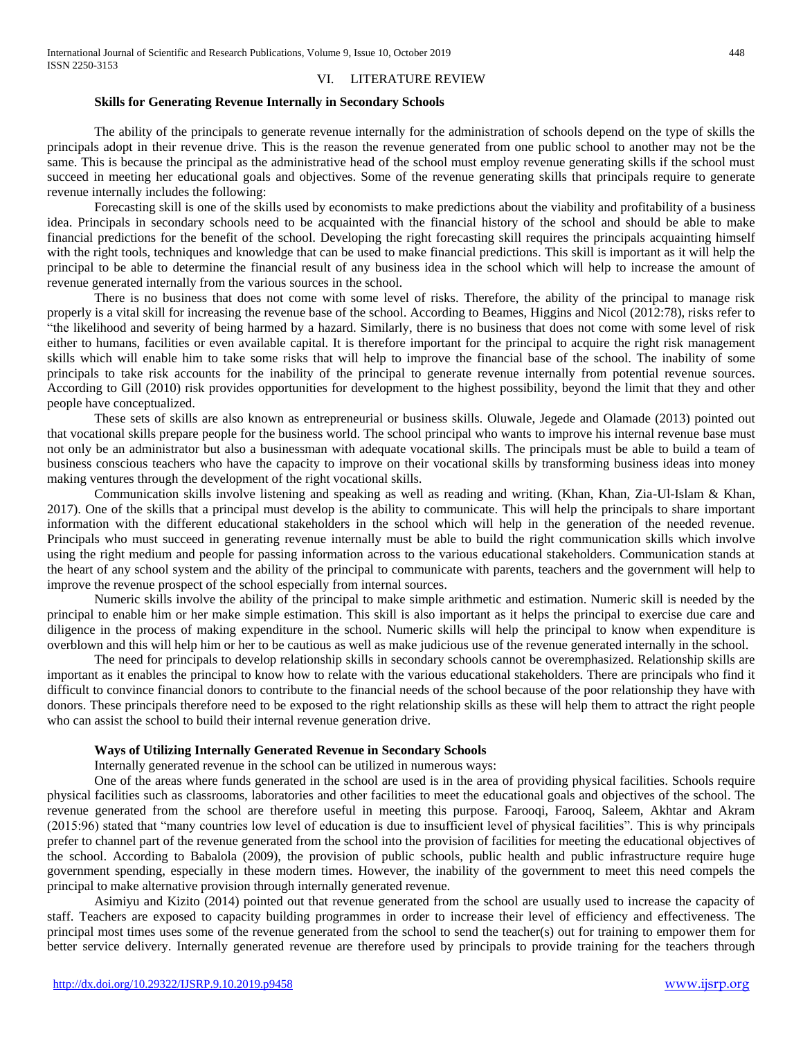#### VI. LITERATURE REVIEW

# **Skills for Generating Revenue Internally in Secondary Schools**

The ability of the principals to generate revenue internally for the administration of schools depend on the type of skills the principals adopt in their revenue drive. This is the reason the revenue generated from one public school to another may not be the same. This is because the principal as the administrative head of the school must employ revenue generating skills if the school must succeed in meeting her educational goals and objectives. Some of the revenue generating skills that principals require to generate revenue internally includes the following:

Forecasting skill is one of the skills used by economists to make predictions about the viability and profitability of a business idea. Principals in secondary schools need to be acquainted with the financial history of the school and should be able to make financial predictions for the benefit of the school. Developing the right forecasting skill requires the principals acquainting himself with the right tools, techniques and knowledge that can be used to make financial predictions. This skill is important as it will help the principal to be able to determine the financial result of any business idea in the school which will help to increase the amount of revenue generated internally from the various sources in the school.

There is no business that does not come with some level of risks. Therefore, the ability of the principal to manage risk properly is a vital skill for increasing the revenue base of the school. According to Beames, Higgins and Nicol (2012:78), risks refer to "the likelihood and severity of being harmed by a hazard. Similarly, there is no business that does not come with some level of risk either to humans, facilities or even available capital. It is therefore important for the principal to acquire the right risk management skills which will enable him to take some risks that will help to improve the financial base of the school. The inability of some principals to take risk accounts for the inability of the principal to generate revenue internally from potential revenue sources. According to Gill (2010) risk provides opportunities for development to the highest possibility, beyond the limit that they and other people have conceptualized.

These sets of skills are also known as entrepreneurial or business skills. Oluwale, Jegede and Olamade (2013) pointed out that vocational skills prepare people for the business world. The school principal who wants to improve his internal revenue base must not only be an administrator but also a businessman with adequate vocational skills. The principals must be able to build a team of business conscious teachers who have the capacity to improve on their vocational skills by transforming business ideas into money making ventures through the development of the right vocational skills.

Communication skills involve listening and speaking as well as reading and writing. (Khan, Khan, Zia-Ul-Islam & Khan, 2017). One of the skills that a principal must develop is the ability to communicate. This will help the principals to share important information with the different educational stakeholders in the school which will help in the generation of the needed revenue. Principals who must succeed in generating revenue internally must be able to build the right communication skills which involve using the right medium and people for passing information across to the various educational stakeholders. Communication stands at the heart of any school system and the ability of the principal to communicate with parents, teachers and the government will help to improve the revenue prospect of the school especially from internal sources.

Numeric skills involve the ability of the principal to make simple arithmetic and estimation. Numeric skill is needed by the principal to enable him or her make simple estimation. This skill is also important as it helps the principal to exercise due care and diligence in the process of making expenditure in the school. Numeric skills will help the principal to know when expenditure is overblown and this will help him or her to be cautious as well as make judicious use of the revenue generated internally in the school.

The need for principals to develop relationship skills in secondary schools cannot be overemphasized. Relationship skills are important as it enables the principal to know how to relate with the various educational stakeholders. There are principals who find it difficult to convince financial donors to contribute to the financial needs of the school because of the poor relationship they have with donors. These principals therefore need to be exposed to the right relationship skills as these will help them to attract the right people who can assist the school to build their internal revenue generation drive.

#### **Ways of Utilizing Internally Generated Revenue in Secondary Schools**

Internally generated revenue in the school can be utilized in numerous ways:

One of the areas where funds generated in the school are used is in the area of providing physical facilities. Schools require physical facilities such as classrooms, laboratories and other facilities to meet the educational goals and objectives of the school. The revenue generated from the school are therefore useful in meeting this purpose. Farooqi, Farooq, Saleem, Akhtar and Akram (2015:96) stated that "many countries low level of education is due to insufficient level of physical facilities". This is why principals prefer to channel part of the revenue generated from the school into the provision of facilities for meeting the educational objectives of the school. According to Babalola (2009), the provision of public schools, public health and public infrastructure require huge government spending, especially in these modern times. However, the inability of the government to meet this need compels the principal to make alternative provision through internally generated revenue.

Asimiyu and Kizito (2014) pointed out that revenue generated from the school are usually used to increase the capacity of staff. Teachers are exposed to capacity building programmes in order to increase their level of efficiency and effectiveness. The principal most times uses some of the revenue generated from the school to send the teacher(s) out for training to empower them for better service delivery. Internally generated revenue are therefore used by principals to provide training for the teachers through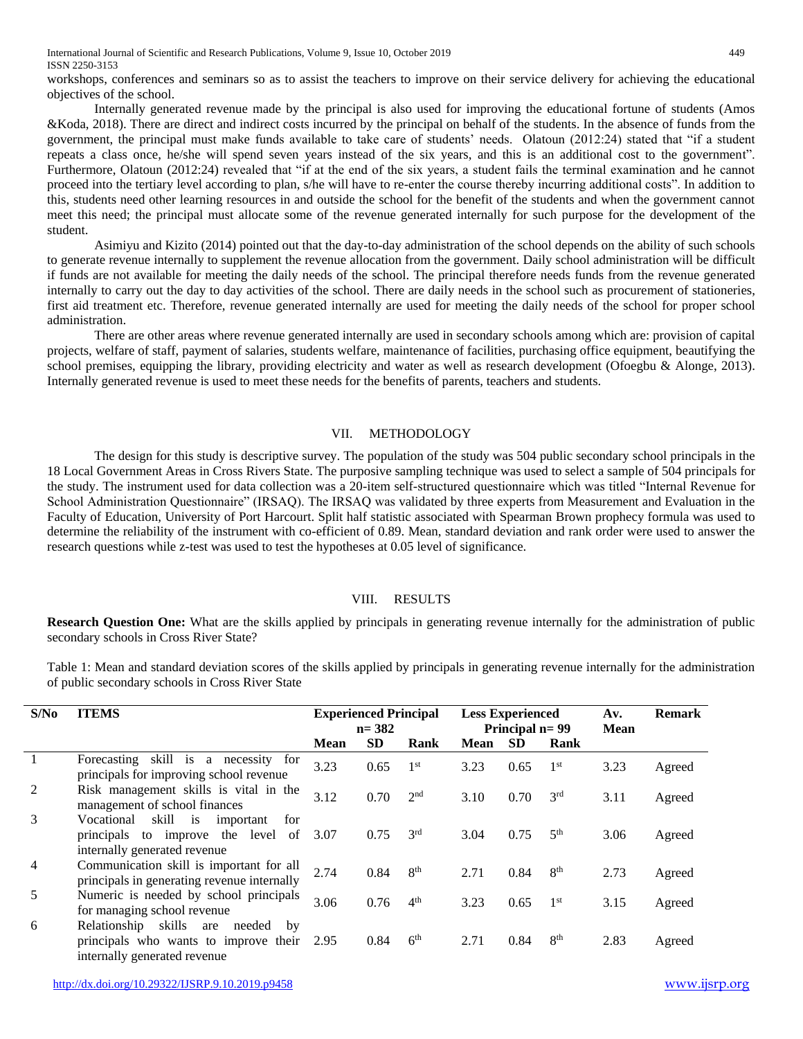International Journal of Scientific and Research Publications, Volume 9, Issue 10, October 2019 449 ISSN 2250-3153

workshops, conferences and seminars so as to assist the teachers to improve on their service delivery for achieving the educational objectives of the school.

Internally generated revenue made by the principal is also used for improving the educational fortune of students (Amos &Koda, 2018). There are direct and indirect costs incurred by the principal on behalf of the students. In the absence of funds from the government, the principal must make funds available to take care of students' needs. Olatoun (2012:24) stated that "if a student repeats a class once, he/she will spend seven years instead of the six years, and this is an additional cost to the government". Furthermore, Olatoun (2012:24) revealed that "if at the end of the six years, a student fails the terminal examination and he cannot proceed into the tertiary level according to plan, s/he will have to re-enter the course thereby incurring additional costs". In addition to this, students need other learning resources in and outside the school for the benefit of the students and when the government cannot meet this need; the principal must allocate some of the revenue generated internally for such purpose for the development of the student.

Asimiyu and Kizito (2014) pointed out that the day-to-day administration of the school depends on the ability of such schools to generate revenue internally to supplement the revenue allocation from the government. Daily school administration will be difficult if funds are not available for meeting the daily needs of the school. The principal therefore needs funds from the revenue generated internally to carry out the day to day activities of the school. There are daily needs in the school such as procurement of stationeries, first aid treatment etc. Therefore, revenue generated internally are used for meeting the daily needs of the school for proper school administration.

There are other areas where revenue generated internally are used in secondary schools among which are: provision of capital projects, welfare of staff, payment of salaries, students welfare, maintenance of facilities, purchasing office equipment, beautifying the school premises, equipping the library, providing electricity and water as well as research development (Ofoegbu & Alonge, 2013). Internally generated revenue is used to meet these needs for the benefits of parents, teachers and students.

# VII. METHODOLOGY

The design for this study is descriptive survey. The population of the study was 504 public secondary school principals in the 18 Local Government Areas in Cross Rivers State. The purposive sampling technique was used to select a sample of 504 principals for the study. The instrument used for data collection was a 20-item self-structured questionnaire which was titled "Internal Revenue for School Administration Questionnaire" (IRSAQ). The IRSAQ was validated by three experts from Measurement and Evaluation in the Faculty of Education, University of Port Harcourt. Split half statistic associated with Spearman Brown prophecy formula was used to determine the reliability of the instrument with co-efficient of 0.89. Mean, standard deviation and rank order were used to answer the research questions while z-test was used to test the hypotheses at 0.05 level of significance.

# VIII. RESULTS

**Research Question One:** What are the skills applied by principals in generating revenue internally for the administration of public secondary schools in Cross River State?

Table 1: Mean and standard deviation scores of the skills applied by principals in generating revenue internally for the administration of public secondary schools in Cross River State

| S/No           | <b>ITEMS</b>                                                                                                        | <b>Experienced Principal</b><br>$n = 382$ |           |                 |             |           |                 | <b>Less Experienced</b><br>Principal n= 99 |        |  | Av.<br><b>Mean</b> | <b>Remark</b> |
|----------------|---------------------------------------------------------------------------------------------------------------------|-------------------------------------------|-----------|-----------------|-------------|-----------|-----------------|--------------------------------------------|--------|--|--------------------|---------------|
|                |                                                                                                                     | Mean                                      | <b>SD</b> | Rank            | <b>Mean</b> | <b>SD</b> | Rank            |                                            |        |  |                    |               |
|                | skill is a necessity for<br>Forecasting<br>principals for improving school revenue                                  | 3.23                                      | 0.65      | 1 <sup>st</sup> | 3.23        | 0.65      | 1 <sup>st</sup> | 3.23                                       | Agreed |  |                    |               |
| 2              | Risk management skills is vital in the<br>management of school finances                                             | 3.12                                      | 0.70      | 2 <sup>nd</sup> | 3.10        | 0.70      | 3 <sup>rd</sup> | 3.11                                       | Agreed |  |                    |               |
| $\mathcal{R}$  | skill is<br>Vocational<br>important<br>for<br>principals to improve the level<br>of<br>internally generated revenue | 3.07                                      | 0.75      | 3 <sup>rd</sup> | 3.04        | 0.75      | 5 <sup>th</sup> | 3.06                                       | Agreed |  |                    |               |
| $\overline{4}$ | Communication skill is important for all<br>principals in generating revenue internally                             | 2.74                                      | 0.84      | 8 <sup>th</sup> | 2.71        | 0.84      | 8 <sup>th</sup> | 2.73                                       | Agreed |  |                    |               |
| 5              | Numeric is needed by school principals<br>for managing school revenue                                               | 3.06                                      | 0.76      | 4 <sup>th</sup> | 3.23        | 0.65      | 1 <sup>st</sup> | 3.15                                       | Agreed |  |                    |               |
| 6              | skills are<br>Relationship<br>needed<br>by<br>principals who wants to improve their<br>internally generated revenue | 2.95                                      | 0.84      | 6 <sup>th</sup> | 2.71        | 0.84      | 8 <sup>th</sup> | 2.83                                       | Agreed |  |                    |               |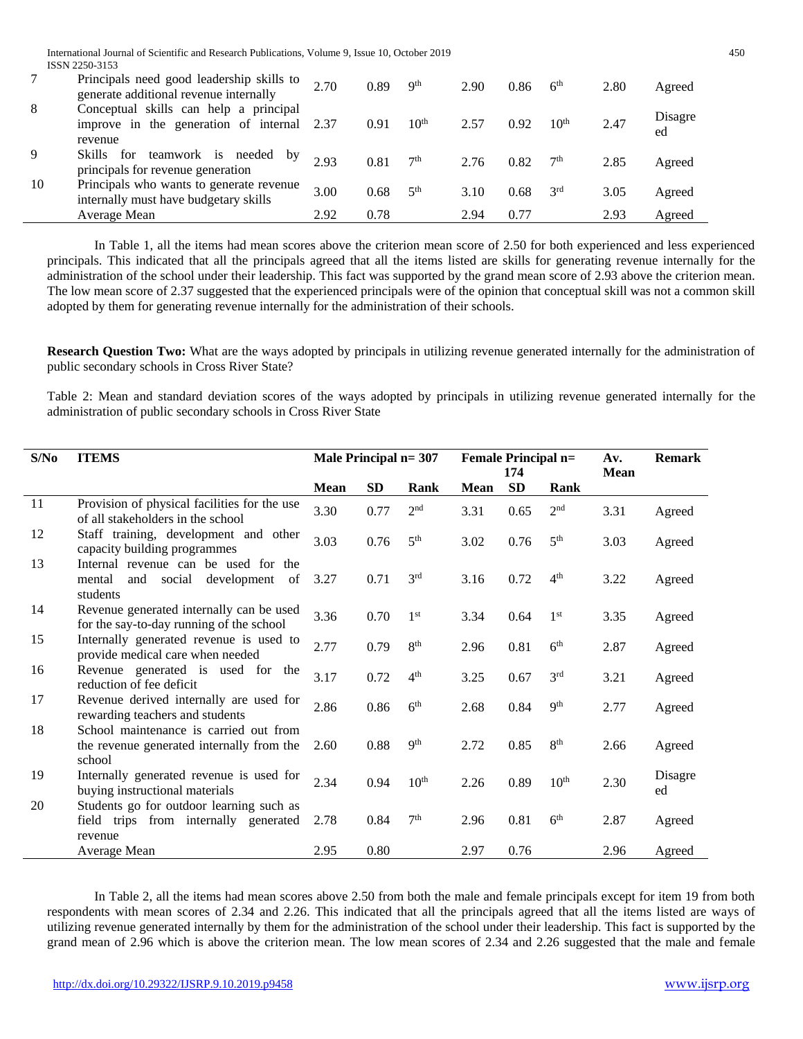International Journal of Scientific and Research Publications, Volume 9, Issue 10, October 2019 450 ISSN 2250-3153

|    | Principals need good leadership skills to<br>generate additional revenue internally        | 2.70 | 0.89 | 9 <sup>th</sup>  | 2.90 | 0.86 | 6 <sup>th</sup>  | 2.80 | Agreed        |
|----|--------------------------------------------------------------------------------------------|------|------|------------------|------|------|------------------|------|---------------|
| 8  | Conceptual skills can help a principal<br>improve in the generation of internal<br>revenue | 2.37 | 0.91 | 10 <sup>th</sup> | 2.57 | 0.92 | 10 <sup>th</sup> | 2.47 | Disagre<br>ed |
| 9  | Skills<br>teamwork is needed by<br>for<br>principals for revenue generation                | 2.93 | 0.81 | 7 <sup>th</sup>  | 2.76 | 0.82 | 7 <sup>th</sup>  | 2.85 | Agreed        |
| 10 | Principals who wants to generate revenue<br>internally must have budgetary skills          | 3.00 | 0.68 | 5 <sup>th</sup>  | 3.10 | 0.68 | 3 <sup>rd</sup>  | 3.05 | Agreed        |
|    | Average Mean                                                                               | 2.92 | 0.78 |                  | 2.94 | 0.77 |                  | 2.93 | Agreed        |

In Table 1, all the items had mean scores above the criterion mean score of 2.50 for both experienced and less experienced principals. This indicated that all the principals agreed that all the items listed are skills for generating revenue internally for the administration of the school under their leadership. This fact was supported by the grand mean score of 2.93 above the criterion mean. The low mean score of 2.37 suggested that the experienced principals were of the opinion that conceptual skill was not a common skill adopted by them for generating revenue internally for the administration of their schools.

**Research Question Two:** What are the ways adopted by principals in utilizing revenue generated internally for the administration of public secondary schools in Cross River State?

Table 2: Mean and standard deviation scores of the ways adopted by principals in utilizing revenue generated internally for the administration of public secondary schools in Cross River State

| S/No | <b>ITEMS</b>                                                                                                | Male Principal $n=307$ |           |                  | <b>Female Principal n=</b> | 174       |                  | Av.<br><b>Mean</b> | <b>Remark</b> |
|------|-------------------------------------------------------------------------------------------------------------|------------------------|-----------|------------------|----------------------------|-----------|------------------|--------------------|---------------|
|      |                                                                                                             | <b>Mean</b>            | <b>SD</b> | Rank             | <b>Mean</b>                | <b>SD</b> | Rank             |                    |               |
| 11   | Provision of physical facilities for the use<br>of all stakeholders in the school                           | 3.30                   | 0.77      | 2 <sup>nd</sup>  | 3.31                       | 0.65      | 2 <sup>nd</sup>  | 3.31               | Agreed        |
| 12   | Staff training, development and other<br>capacity building programmes                                       | 3.03                   | 0.76      | 5 <sup>th</sup>  | 3.02                       | 0.76      | 5 <sup>th</sup>  | 3.03               | Agreed        |
| 13   | Internal revenue can be used for the<br>social<br>development<br>mental<br><sub>of</sub><br>and<br>students | 3.27                   | 0.71      | 3 <sup>rd</sup>  | 3.16                       | 0.72      | 4 <sup>th</sup>  | 3.22               | Agreed        |
| 14   | Revenue generated internally can be used<br>for the say-to-day running of the school                        | 3.36                   | 0.70      | 1 <sup>st</sup>  | 3.34                       | 0.64      | 1 <sup>st</sup>  | 3.35               | Agreed        |
| 15   | Internally generated revenue is used to<br>provide medical care when needed                                 | 2.77                   | 0.79      | 8 <sup>th</sup>  | 2.96                       | 0.81      | 6 <sup>th</sup>  | 2.87               | Agreed        |
| 16   | Revenue generated is used for the<br>reduction of fee deficit                                               | 3.17                   | 0.72      | 4 <sup>th</sup>  | 3.25                       | 0.67      | 3 <sup>rd</sup>  | 3.21               | Agreed        |
| 17   | Revenue derived internally are used for<br>rewarding teachers and students                                  | 2.86                   | 0.86      | 6 <sup>th</sup>  | 2.68                       | 0.84      | <b>Qth</b>       | 2.77               | Agreed        |
| 18   | School maintenance is carried out from<br>the revenue generated internally from the<br>school               | 2.60                   | 0.88      | 9 <sup>th</sup>  | 2.72                       | 0.85      | 8 <sup>th</sup>  | 2.66               | Agreed        |
| 19   | Internally generated revenue is used for<br>buying instructional materials                                  | 2.34                   | 0.94      | 10 <sup>th</sup> | 2.26                       | 0.89      | 10 <sup>th</sup> | 2.30               | Disagre<br>ed |
| 20   | Students go for outdoor learning such as<br>field trips from internally generated<br>revenue                | 2.78                   | 0.84      | 7 <sup>th</sup>  | 2.96                       | 0.81      | 6 <sup>th</sup>  | 2.87               | Agreed        |
|      | Average Mean                                                                                                | 2.95                   | 0.80      |                  | 2.97                       | 0.76      |                  | 2.96               | Agreed        |

In Table 2, all the items had mean scores above 2.50 from both the male and female principals except for item 19 from both respondents with mean scores of 2.34 and 2.26. This indicated that all the principals agreed that all the items listed are ways of utilizing revenue generated internally by them for the administration of the school under their leadership. This fact is supported by the grand mean of 2.96 which is above the criterion mean. The low mean scores of 2.34 and 2.26 suggested that the male and female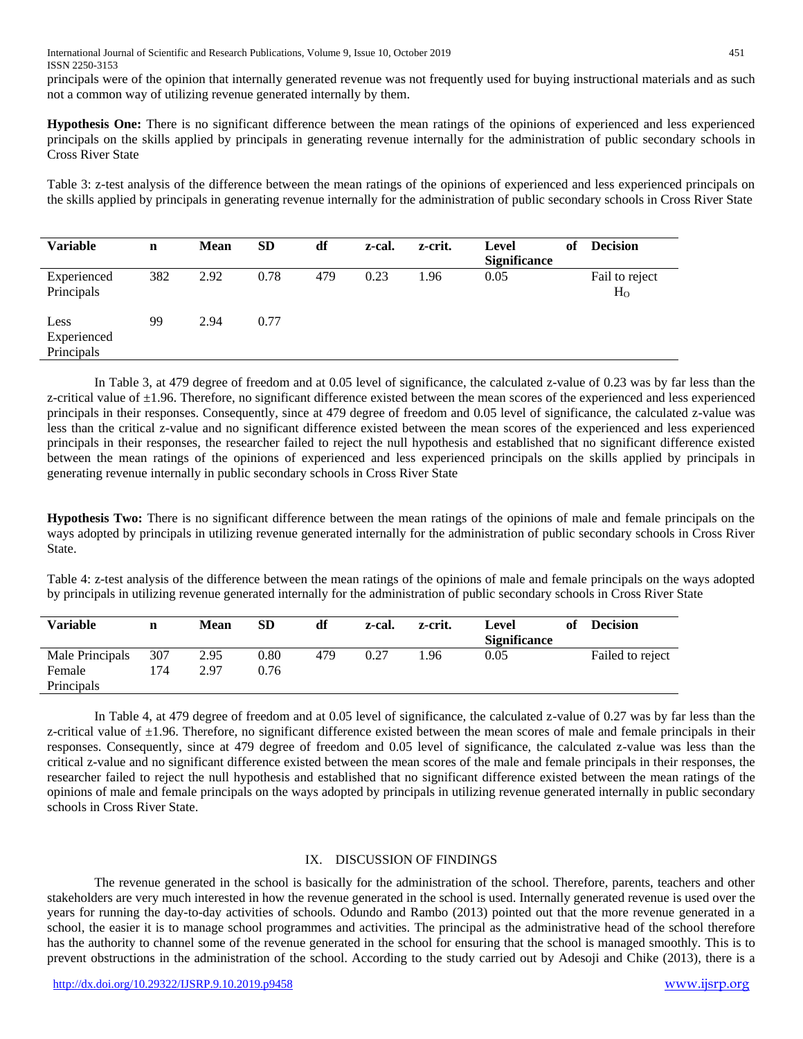International Journal of Scientific and Research Publications, Volume 9, Issue 10, October 2019 451 ISSN 2250-3153

principals were of the opinion that internally generated revenue was not frequently used for buying instructional materials and as such not a common way of utilizing revenue generated internally by them.

**Hypothesis One:** There is no significant difference between the mean ratings of the opinions of experienced and less experienced principals on the skills applied by principals in generating revenue internally for the administration of public secondary schools in Cross River State

Table 3: z-test analysis of the difference between the mean ratings of the opinions of experienced and less experienced principals on the skills applied by principals in generating revenue internally for the administration of public secondary schools in Cross River State

| <b>Variable</b>                   | $\mathbf n$ | <b>Mean</b> | <b>SD</b> | df  | z-cal. | z-crit. | Level<br><b>Significance</b> | of | <b>Decision</b>                  |
|-----------------------------------|-------------|-------------|-----------|-----|--------|---------|------------------------------|----|----------------------------------|
| Experienced<br>Principals         | 382         | 2.92        | 0.78      | 479 | 0.23   | 1.96    | 0.05                         |    | Fail to reject<br>H <sub>o</sub> |
| Less<br>Experienced<br>Principals | 99          | 2.94        | 0.77      |     |        |         |                              |    |                                  |

In Table 3, at 479 degree of freedom and at 0.05 level of significance, the calculated z-value of 0.23 was by far less than the z-critical value of  $\pm 1.96$ . Therefore, no significant difference existed between the mean scores of the experienced and less experienced principals in their responses. Consequently, since at 479 degree of freedom and 0.05 level of significance, the calculated z-value was less than the critical z-value and no significant difference existed between the mean scores of the experienced and less experienced principals in their responses, the researcher failed to reject the null hypothesis and established that no significant difference existed between the mean ratings of the opinions of experienced and less experienced principals on the skills applied by principals in generating revenue internally in public secondary schools in Cross River State

**Hypothesis Two:** There is no significant difference between the mean ratings of the opinions of male and female principals on the ways adopted by principals in utilizing revenue generated internally for the administration of public secondary schools in Cross River State.

Table 4: z-test analysis of the difference between the mean ratings of the opinions of male and female principals on the ways adopted by principals in utilizing revenue generated internally for the administration of public secondary schools in Cross River State

| <b>Variable</b> | n   | Mean | <b>SD</b> | df  | z-cal. | z-crit. | Level               | of | <b>Decision</b>  |
|-----------------|-----|------|-----------|-----|--------|---------|---------------------|----|------------------|
|                 |     |      |           |     |        |         | <b>Significance</b> |    |                  |
| Male Principals | 307 | 2.95 | 0.80      | 479 | 0.27   | .96     | 0.05                |    | Failed to reject |
| Female          | 174 | 2.97 | 0.76      |     |        |         |                     |    |                  |
| Principals      |     |      |           |     |        |         |                     |    |                  |

In Table 4, at 479 degree of freedom and at 0.05 level of significance, the calculated z-value of 0.27 was by far less than the z-critical value of  $\pm 1.96$ . Therefore, no significant difference existed between the mean scores of male and female principals in their responses. Consequently, since at 479 degree of freedom and 0.05 level of significance, the calculated z-value was less than the critical z-value and no significant difference existed between the mean scores of the male and female principals in their responses, the researcher failed to reject the null hypothesis and established that no significant difference existed between the mean ratings of the opinions of male and female principals on the ways adopted by principals in utilizing revenue generated internally in public secondary schools in Cross River State.

# IX. DISCUSSION OF FINDINGS

The revenue generated in the school is basically for the administration of the school. Therefore, parents, teachers and other stakeholders are very much interested in how the revenue generated in the school is used. Internally generated revenue is used over the years for running the day-to-day activities of schools. Odundo and Rambo (2013) pointed out that the more revenue generated in a school, the easier it is to manage school programmes and activities. The principal as the administrative head of the school therefore has the authority to channel some of the revenue generated in the school for ensuring that the school is managed smoothly. This is to prevent obstructions in the administration of the school. According to the study carried out by Adesoji and Chike (2013), there is a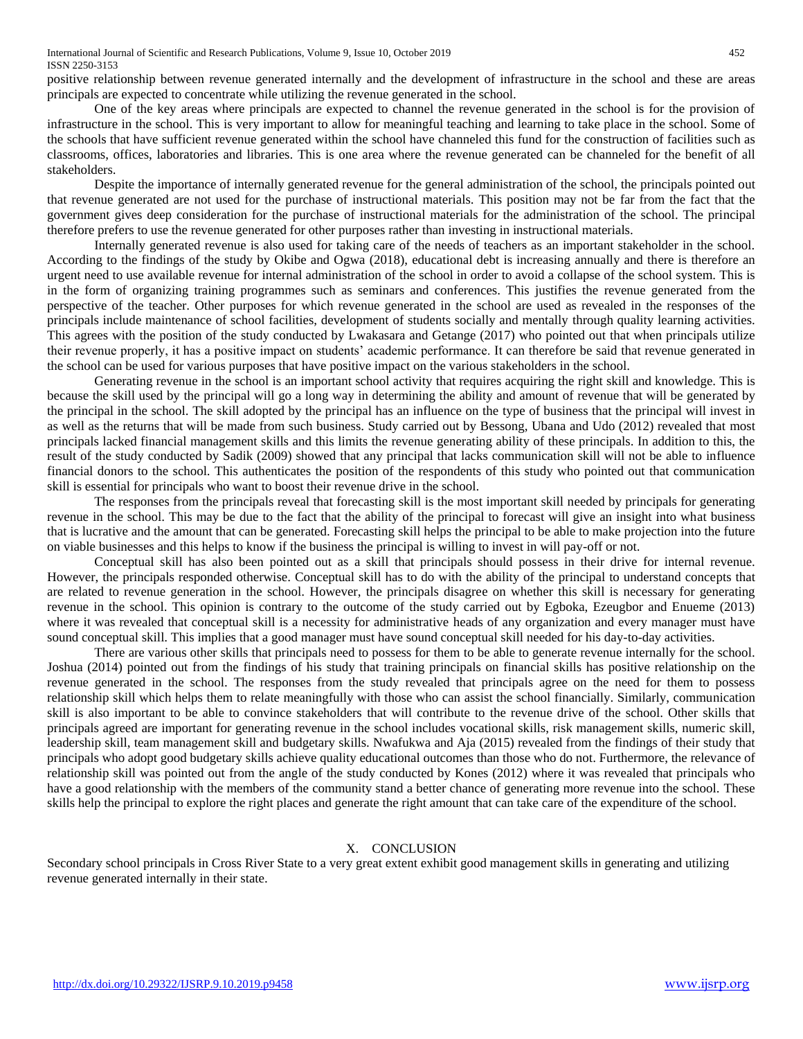positive relationship between revenue generated internally and the development of infrastructure in the school and these are areas principals are expected to concentrate while utilizing the revenue generated in the school.

One of the key areas where principals are expected to channel the revenue generated in the school is for the provision of infrastructure in the school. This is very important to allow for meaningful teaching and learning to take place in the school. Some of the schools that have sufficient revenue generated within the school have channeled this fund for the construction of facilities such as classrooms, offices, laboratories and libraries. This is one area where the revenue generated can be channeled for the benefit of all stakeholders.

Despite the importance of internally generated revenue for the general administration of the school, the principals pointed out that revenue generated are not used for the purchase of instructional materials. This position may not be far from the fact that the government gives deep consideration for the purchase of instructional materials for the administration of the school. The principal therefore prefers to use the revenue generated for other purposes rather than investing in instructional materials.

Internally generated revenue is also used for taking care of the needs of teachers as an important stakeholder in the school. According to the findings of the study by Okibe and Ogwa (2018), educational debt is increasing annually and there is therefore an urgent need to use available revenue for internal administration of the school in order to avoid a collapse of the school system. This is in the form of organizing training programmes such as seminars and conferences. This justifies the revenue generated from the perspective of the teacher. Other purposes for which revenue generated in the school are used as revealed in the responses of the principals include maintenance of school facilities, development of students socially and mentally through quality learning activities. This agrees with the position of the study conducted by Lwakasara and Getange (2017) who pointed out that when principals utilize their revenue properly, it has a positive impact on students' academic performance. It can therefore be said that revenue generated in the school can be used for various purposes that have positive impact on the various stakeholders in the school.

Generating revenue in the school is an important school activity that requires acquiring the right skill and knowledge. This is because the skill used by the principal will go a long way in determining the ability and amount of revenue that will be generated by the principal in the school. The skill adopted by the principal has an influence on the type of business that the principal will invest in as well as the returns that will be made from such business. Study carried out by Bessong, Ubana and Udo (2012) revealed that most principals lacked financial management skills and this limits the revenue generating ability of these principals. In addition to this, the result of the study conducted by Sadik (2009) showed that any principal that lacks communication skill will not be able to influence financial donors to the school. This authenticates the position of the respondents of this study who pointed out that communication skill is essential for principals who want to boost their revenue drive in the school.

The responses from the principals reveal that forecasting skill is the most important skill needed by principals for generating revenue in the school. This may be due to the fact that the ability of the principal to forecast will give an insight into what business that is lucrative and the amount that can be generated. Forecasting skill helps the principal to be able to make projection into the future on viable businesses and this helps to know if the business the principal is willing to invest in will pay-off or not.

Conceptual skill has also been pointed out as a skill that principals should possess in their drive for internal revenue. However, the principals responded otherwise. Conceptual skill has to do with the ability of the principal to understand concepts that are related to revenue generation in the school. However, the principals disagree on whether this skill is necessary for generating revenue in the school. This opinion is contrary to the outcome of the study carried out by Egboka, Ezeugbor and Enueme (2013) where it was revealed that conceptual skill is a necessity for administrative heads of any organization and every manager must have sound conceptual skill. This implies that a good manager must have sound conceptual skill needed for his day-to-day activities.

There are various other skills that principals need to possess for them to be able to generate revenue internally for the school. Joshua (2014) pointed out from the findings of his study that training principals on financial skills has positive relationship on the revenue generated in the school. The responses from the study revealed that principals agree on the need for them to possess relationship skill which helps them to relate meaningfully with those who can assist the school financially. Similarly, communication skill is also important to be able to convince stakeholders that will contribute to the revenue drive of the school. Other skills that principals agreed are important for generating revenue in the school includes vocational skills, risk management skills, numeric skill, leadership skill, team management skill and budgetary skills. Nwafukwa and Aja (2015) revealed from the findings of their study that principals who adopt good budgetary skills achieve quality educational outcomes than those who do not. Furthermore, the relevance of relationship skill was pointed out from the angle of the study conducted by Kones (2012) where it was revealed that principals who have a good relationship with the members of the community stand a better chance of generating more revenue into the school. These skills help the principal to explore the right places and generate the right amount that can take care of the expenditure of the school.

#### X. CONCLUSION

Secondary school principals in Cross River State to a very great extent exhibit good management skills in generating and utilizing revenue generated internally in their state.